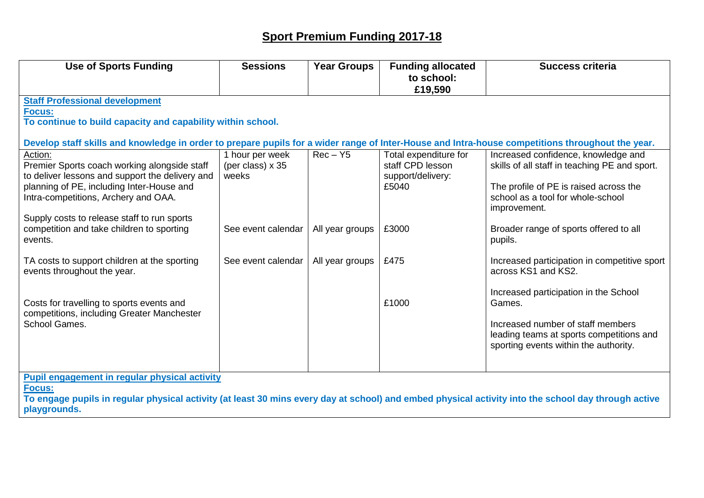## **Sport Premium Funding 2017-18**

| <b>Use of Sports Funding</b>                                                                                                                                                                                                                                              | <b>Sessions</b>                              | <b>Year Groups</b> | <b>Funding allocated</b><br>to school:<br>£19,590                       | <b>Success criteria</b>                                                                                                                                                             |  |  |  |  |
|---------------------------------------------------------------------------------------------------------------------------------------------------------------------------------------------------------------------------------------------------------------------------|----------------------------------------------|--------------------|-------------------------------------------------------------------------|-------------------------------------------------------------------------------------------------------------------------------------------------------------------------------------|--|--|--|--|
| <b>Staff Professional development</b><br><b>Focus:</b><br>To continue to build capacity and capability within school.<br>Develop staff skills and knowledge in order to prepare pupils for a wider range of Inter-House and Intra-house competitions throughout the year. |                                              |                    |                                                                         |                                                                                                                                                                                     |  |  |  |  |
| Action:<br>Premier Sports coach working alongside staff<br>to deliver lessons and support the delivery and<br>planning of PE, including Inter-House and<br>Intra-competitions, Archery and OAA.                                                                           | 1 hour per week<br>(per class) x 35<br>weeks | $Rec - Y5$         | Total expenditure for<br>staff CPD lesson<br>support/delivery:<br>£5040 | Increased confidence, knowledge and<br>skills of all staff in teaching PE and sport.<br>The profile of PE is raised across the<br>school as a tool for whole-school<br>improvement. |  |  |  |  |
| Supply costs to release staff to run sports<br>competition and take children to sporting<br>events.                                                                                                                                                                       | See event calendar                           | All year groups    | £3000                                                                   | Broader range of sports offered to all<br>pupils.                                                                                                                                   |  |  |  |  |
| TA costs to support children at the sporting<br>events throughout the year.                                                                                                                                                                                               | See event calendar                           | All year groups    | £475                                                                    | Increased participation in competitive sport<br>across KS1 and KS2.                                                                                                                 |  |  |  |  |
| Costs for travelling to sports events and<br>competitions, including Greater Manchester<br>School Games.                                                                                                                                                                  |                                              |                    | £1000                                                                   | Increased participation in the School<br>Games.<br>Increased number of staff members<br>leading teams at sports competitions and<br>sporting events within the authority.           |  |  |  |  |
| <b>Pupil engagement in regular physical activity</b><br>Focus:<br>To engage pupils in regular physical activity (at least 30 mins every day at school) and embed physical activity into the school day through active<br>playgrounds.                                     |                                              |                    |                                                                         |                                                                                                                                                                                     |  |  |  |  |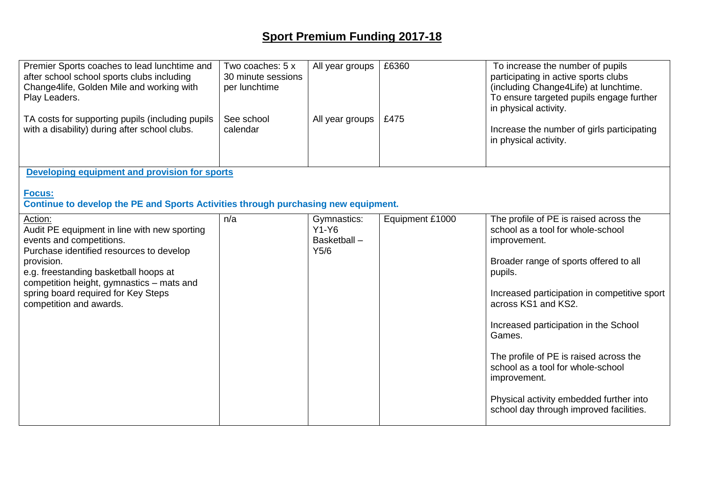## **Sport Premium Funding 2017-18**

| Premier Sports coaches to lead lunchtime and<br>after school school sports clubs including<br>Change4life, Golden Mile and working with<br>Play Leaders.<br>TA costs for supporting pupils (including pupils<br>with a disability) during after school clubs.                                         | Two coaches: 5 x<br>30 minute sessions<br>per lunchtime<br>See school<br>calendar | All year groups<br>All year groups            | £6360<br>£475   | To increase the number of pupils<br>participating in active sports clubs<br>(including Change4Life) at lunchtime.<br>To ensure targeted pupils engage further<br>in physical activity.<br>Increase the number of girls participating<br>in physical activity.                                                                                                                                                                                                   |  |  |  |  |
|-------------------------------------------------------------------------------------------------------------------------------------------------------------------------------------------------------------------------------------------------------------------------------------------------------|-----------------------------------------------------------------------------------|-----------------------------------------------|-----------------|-----------------------------------------------------------------------------------------------------------------------------------------------------------------------------------------------------------------------------------------------------------------------------------------------------------------------------------------------------------------------------------------------------------------------------------------------------------------|--|--|--|--|
| Developing equipment and provision for sports                                                                                                                                                                                                                                                         |                                                                                   |                                               |                 |                                                                                                                                                                                                                                                                                                                                                                                                                                                                 |  |  |  |  |
| Focus:<br>Continue to develop the PE and Sports Activities through purchasing new equipment.                                                                                                                                                                                                          |                                                                                   |                                               |                 |                                                                                                                                                                                                                                                                                                                                                                                                                                                                 |  |  |  |  |
| Action:<br>Audit PE equipment in line with new sporting<br>events and competitions.<br>Purchase identified resources to develop<br>provision.<br>e.g. freestanding basketball hoops at<br>competition height, gymnastics - mats and<br>spring board required for Key Steps<br>competition and awards. | n/a                                                                               | Gymnastics:<br>$Y1-Y6$<br>Basketball-<br>Y5/6 | Equipment £1000 | The profile of PE is raised across the<br>school as a tool for whole-school<br>improvement.<br>Broader range of sports offered to all<br>pupils.<br>Increased participation in competitive sport<br>across KS1 and KS2.<br>Increased participation in the School<br>Games.<br>The profile of PE is raised across the<br>school as a tool for whole-school<br>improvement.<br>Physical activity embedded further into<br>school day through improved facilities. |  |  |  |  |